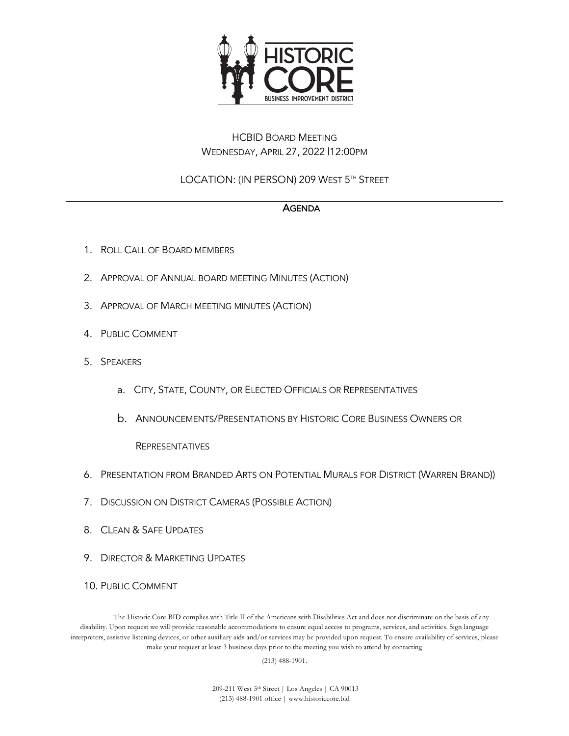

## HCBID BOARD MEETING WEDNESDAY, APRIL 27, 2022 |12:00PM

# LOCATION: (IN PERSON) 209 WEST 5TH STREET

### AGENDA

- 1. ROLL CALL OF BOARD MEMBERS
- 2. APPROVAL OF ANNUAL BOARD MEETING MINUTES (ACTION)
- 3. APPROVAL OF MARCH MEETING MINUTES (ACTION)
- 4. PUBLIC COMMENT
- 5. SPEAKERS
	- a. CITY, STATE, COUNTY, OR ELECTED OFFICIALS OR REPRESENTATIVES
	- b. ANNOUNCEMENTS/PRESENTATIONS BY HISTORIC CORE BUSINESS OWNERS OR

#### REPRESENTATIVES

- 6. PRESENTATION FROM BRANDED ARTS ON POTENTIAL MURALS FOR DISTRICT (WARREN BRAND))
- 7. DISCUSSION ON DISTRICT CAMERAS (POSSIBLE ACTION)
- 8. CLEAN & SAFE UPDATES
- 9. DIRECTOR & MARKETING UPDATES
- 10. PUBLIC COMMENT

The Historic Core BID complies with Title II of the Americans with Disabilities Act and does not discriminate on the basis of any disability. Upon request we will provide reasonable accommodations to ensure equal access to programs, services, and activities. Sign language interpreters, assistive listening devices, or other auxiliary aids and/or services may be provided upon request. To ensure availability of services, please make your request at least 3 business days prior to the meeting you wish to attend by contacting

(213) 488-1901.